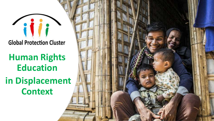## **Global Protection Cluster**

# **Human Rights Education**

## **in Displacement Context**

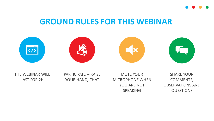

#### **GROUND RULES FOR THIS WEBINAR**









THE WEBINAR WILL

LAST FOR 2H

PARTICIPATE – RAISE YOUR HAND, CHAT

MUTE YOUR MICROPHONE WHEN YOU ARE NOT SPEAKING

SHARE YOUR COMMENTS, OBSERVATIONS AND QUESTIONS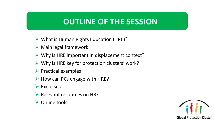#### **OUTLINE OF THE SESSION**

- ➢ What is Human Rights Education (HRE)?
- $\triangleright$  Main legal framework
- $\triangleright$  Why is HRE important in displacement context?
- $\triangleright$  Why is HRE key for protection clusters' work?
- ➢ Practical examples
- $\triangleright$  How can PCs engage with HRE?
- ➢ Exercises
- ➢ Relevant resources on HRE
- ➢ Online tools

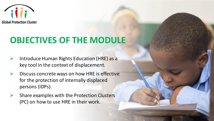

## **OBJECTIVES OF THE MODULE**

- ➢ Introduce Human Rights Education (HRE) as a key tool in the context of displacement.
- $\triangleright$  Discuss concrete ways on how HRE is effective for the protection of internally displaced persons (IDPs).
- Share examples with the Protection Clusters (PC) on how to use HRE in their work.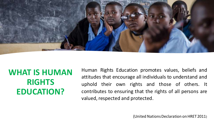

## **WHAT IS HUMAN RIGHTS EDUCATION?**

Human Rights Education promotes values, beliefs and attitudes that encourage all individuals to understand and uphold their own rights and those of others. It contributes to ensuring that the rights of all persons are valued, respected and protected.

(United Nations Declaration on HRET 2011)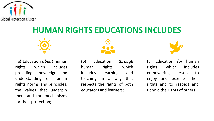

## **HUMAN RIGHTS EDUCATIONS INCLUDES**



(a) Education *about* human rights, which includes providing knowledge and understanding of human rights norms and principles, the values that underpin them and the mechanisms for their protection;



(b) Education *through* human rights, which includes learning and teaching in a way that respects the rights of both educators and learners;



(c) Education *for* human rights, which includes empowering persons to enjoy and exercise their rights and to respect and uphold the rights of others.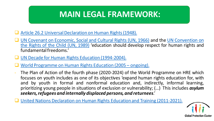## **MAIN LEGAL FRAMEWORK:**

- Article 26.2 Universal Declaration on Human Rights (1948).
- UN Covenant on [Economic,](about:blank) Social and Cultural Rights (UN, 1966) and the UN [Convention](about:blank) on the Rights of the Child (UN, 1989) 'education should develop respect for human rights and fundamentalfreedoms.'
- ❑ UN Decade for Human Rights Education [\(1994-2004\).](about:blank)
- ❑ World [Programme](about:blank#:~:text=On%2010%20December%202004%2C%20the%20General%20Assembly%20of,the%20General%20Assembly%E2%80%99s%20resolution%2059%2F113%20%2810%20December%202004%29.) on Human Rights Education (2005 ongoing).
- The Plan of Action of the fourth phase (2020-2024) of the World Programme on HRE which focuses on youth includes as one of its objectives 'expand human rights education for, with and by youth in formal and nonformal education and, indirectly, informal learning, prioritizing young people in situations of exclusion or vulnerability; (…) This includes *asylum seekers,refugees and internally displaced persons, and returnees*.'
- United Nations Declaration on Human Rights Education and Training (2011-2021).

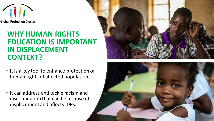

#### **WHY HUMAN RIGHTS EDUCATION IS IMPORTANT IN DISPLACEMENT CONTEXT?**

- It is a key tool to enhance protection of human rights of affected populations
- It can address and tackle racism and discrimination that can be a cause of displacement and affects IDPs.



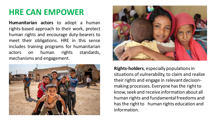## **HRE CAN EMPOWER**

**Humanitarian actors** to adopt a human rights-based approach to their work, protect human rights and encourage duty-bearers to meet their obligations. HRE in this sense includes training programs for humanitarian actors on human rights standards, mechanisms and engagement.





**Rights-holders**, especially populations in situations of vulnerability, to claim and realize their rights and engage in relevant decisionmaking processes. Everyone has the right to know, seek and receive information about all human rights and fundamental freedoms and has the right to human rights education and information.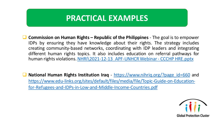#### **PRACTICAL EXAMPLES**

- ❑ **Commission on Human Rights – Republic of the Philippines** The goal is to empower IDPs by ensuring they have knowledge about their rights. The strategy includes creating community-based networks, coordinating with IDP leaders and integrating different human rights topics. It also includes education on referral pathways for human rights violations. NHRI\2021-12-13 APF-UNHCRWebinar - CCCHP HRE.pptx
- ❑ **National Human Rights Institution Iraq** [https://www.nihriq.org/?page\\_id=660](about:blank) and [https://www.edu-links.org/sites/default/files/media/file/Topic-Guide-on-Education](https://www.edu-links.org/sites/default/files/media/file/Topic-Guide-on-Education-for-Refugees-and-IDPs-in-Low-and-Middle-Income-Countries.pdf)for-Refugees-and-IDPs-in-Low-and-Middle-Income-Countries.pdf

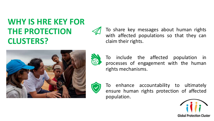## **WHY IS HRE KEY FOR THE PROTECTION CLUSTERS?**



To share key messages about human rights with affected populations so that they can claim their rights.



To include the affected population in processes of engagement with the human rights mechanisms.



To enhance accountability to ultimately ensure human rights protection of affected population.

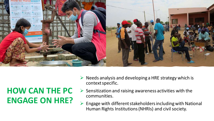

## **HOW CAN THE PC ENGAGE ON HRE?**

- $\triangleright$  Needs analysis and developing a HRE strategy which is context specific.
- $\triangleright$  Sensitization and raising awareness activities with the communities.
- ➢ Engage with different stakeholders including with National Human Rights Institutions (NHRIs) and civil society.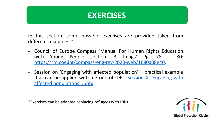#### **EXERCISES**

In this section, some possible exercises are provided taken from different resources.\*

- Council of Europe Compass 'Manual For Human Rights Education with Young People section '3 things' Pg. 78 – 80: [https://rm.coe.int/compass-eng-rev-2020-web/1680a08e40.](https://rm.coe.int/compass-eng-rev-2020-web/1680a08e40)
- Session on 'Engaging with affected population' practical example that can be applied with a group of IDPs. Session 4 Engaging with affected [populations\\_.pptx](Session 4_ Engaging with affected populations_.pptx)

\*Exercises can be adapted replacing refugees with IDPs.

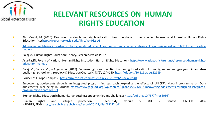

#### **RELEVANT RESOURCES ON HUMAN RIGHTS EDUCATION**

- ➢ Abu Moghli, M. (2020). Re-conceptualising human rights education: from the global to the occupied. International Journal of Human Rights Education, 4(1) [https://repository.usfca.edu/ijhre/vol4/iss1/5.](https://repository.usfca.edu/ijhre/vol4/iss1/5)
- ➢ Adolescent well-being in Jordan: exploring gendered [capabilities,](about:blank) context and change strategies. A synthesis report on GAGE Jordan baseline findings.
- $\triangleright$  Bajaj M. 'Human Rights Education: Theory, Research, Praxis' PENN,
- ➢ Asia-Pacific Forum of National Human Rights Institution, Human Rights Education [https://www.asiapacificforum.net/resources/human-rights](about:blank)education-manual/
- ➢ Bajaj, M., Canlas, M., & Argenal, A. (2017). Between rights and realities: Human rights education for immigrant and refugee youth in an urban public high school. Anthropology&EducationQuarterly, 48(2), 124–140. [https://doi.org/10.1111/aeq.12189](about:blank)
- ➢ Council of Europe Compass– [https://rm.coe.int/compass-eng-rev-2020-web/1680a08e40](about:blank).
- ➢ Empowering adolescents through an integrated programming approach: exploring the effects of UNICEF's Makani programme on Dom adolescents' well-being in Jordan: [https://www.gage.odi.org/wp-content/uploads/2021/03/Empowering-adolescents-through-an-integrated](about:blank)programming-approach.pdf
- ➢ 'Human Rights Education in humanitarian settings: opportunities and challenges [http://doi.org/10.7577/hrer.3986](about:blank)'
- ➢ Human rights and refugee protection : self-study module 5. Vol. 2 Geneva: UNHCR, 2006 HRE/HRP/5R/[9https://searchlibrary.ohchr.org/record/25122/files/25122.pdf](about:blank)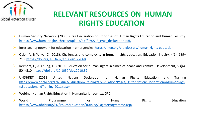

#### **RELEVANT RESOURCES ON HUMAN RIGHTS EDUCATION**

- ➢ Human Security Network. (2003). Graz Declaration on Principles of Human Rights Education and Human Security. [https://www.humanrights.ch/cms/upload/pdf/030513\\_graz\\_declaration.pdf.](https://www.humanrights.ch/cms/upload/pdf/030513_graz_declaration.pdf)
- ➢ Inter-agency network for education in emergencies: [https://inee.org/eie-glossary/human-rights-education.](about:blank)
- ➢ Osler, A. & Yahya, C. (2013). Challenges and complexity in human rights education. Education Inquiry, 4(1), 189– 210. [https://doi.org/10.3402/edui.v4i1.22068](about:blank)
- ➢ Reimers, F., & Chung, C. (2010). Education for human rights in times of peace and conflict. Development, 53(4), 504–510. [https://doi.org/10.1057/dev.2010.82](about:blank)
- ➢ UNDHRET (2011 United Nations Declaration on Human Rights Education and Training [https://www.ohchr.org/EN/Issues/Education/Training/Compilation/Pages/UnitedNationsDeclarationonHumanRigh](about:blank) tsEducationandTraining(2011).aspx
- $\triangleright$  Webinar Human Rights Education in Humanitarian context GPC.
- ▶ World **Programme** For Human Rights Education [https://www.ohchr.org/EN/Issues/Education/Training/Pages/Programme.aspx](about:blank)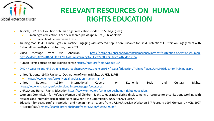

### **RELEVANT RESOURCES ON HUMAN RIGHTS EDUCATION**

- ➢ Tibbitts, F. (2017). Evolution of human rights educationmodels. In M. Bajaj (Eds.),
	- $\triangleright$  Human rights education: Theory, research, praxis, (pp.69–95). Philadelphia:
		- ➢ University of Pennsylvania Press.
- ➢ Training module 4: Human Rights in Practice: Engaging with affected population.Guidance for Field Protections Clusters on Engagement with National Human Rights Institutions, June 2021.
- ➢ Video message from Aya Abdullah: https://intranet.unhcr.org/content/dam/unhcr/intranet/protection-operations/humanrights/videos/Aya%20Abdullah%20-%20Transforming%20Lives%20Exhibition%20Video.mp4
- ➢ Human Rights Education and Training centre https://hrea.org/home/about-us/
- ➢ OHCHR website andHRE training resources [https://www.ohchr.org/EN/Issues/Education/Training/Pages/UNDHREducationTraining.aspx.](about:blank)
- United Nations. (1948). Universal Declaration of Human Rights. (A/RES/217(III).
	- ➢ [https://www.un.org/en/universal-declaration-human-rights/](about:blank)
- ➢ United Nations. (1966). International Covenant on Economic, Social and Cultural Rights. [https://www.ohchr.org/en/professionalinterest/pages/cescr.aspx.](about:blank)
- UNRWA and Human Rights Education [https://www.unrwa.org/what-we-do/human-rights-education.](about:blank)
- ➢ Women's Commission for Refugee Women and Children 'Right to education during displacement: a resource for organizations working with refugees and internally displaced persons New York: the Commission, 2006 HRE/CHILD/5/3.
- ➢ Education for peace conflict resolution and human rights : papers from a UNHCR Design Workshop 3-7 February 1997 Geneva: UNHCR, 1997 HRE/HRP/7aS/6 [https://searchlibrary.ohchr.org/record/5828/files/5828.pdf.](about:blank)